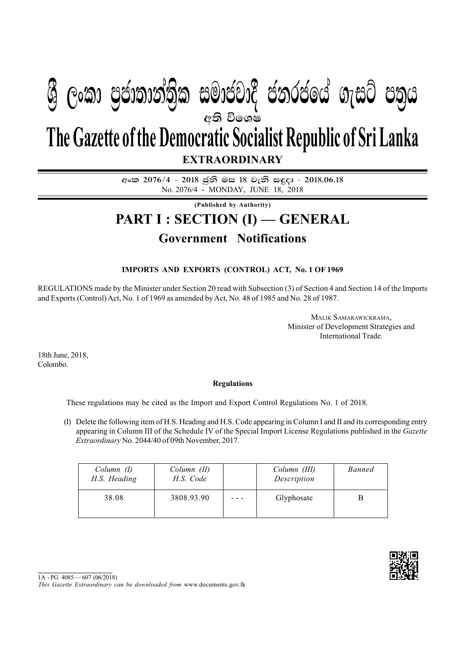## අති වි**ශෙ**ෂ **EXTRAORDINARY The Gazette of the Democratic Socialist Republic of Sri Lanka W Geibrea, mocdic charge in cold m**

**අංක 2076/4 - 2018 ජනි මස 18 වැනි සඳ**දා - 2018.06.18 No. 2076/4 - MONDAY, JUNE 18, 2018

**(Published by Authority)**

# **PART I : SECTION (I) — GENERAL**

### **Government Notifications**

### **IMPORTS AND EXPORTS (CONTROL) ACT, No. 1 OF 1969**

REGULATIONS made by the Minister under Section 20 read with Subsection (3) of Section 4 and Section 14 of the Imports and Exports (Control) Act, No. 1 of 1969 as amended by Act, No. 48 of 1985 and No. 28 of 1987.

> MALIK SAMARAWICKRAMA, Minister of Development Strategies and International Trade.

18th June, 2018, Colombo.

#### **Regulations**

These regulations may be cited as the Import and Export Control Regulations No. 1 of 2018.

(I) Delete the following item of H.S. Heading and H.S. Code appearing in Column I and II and its corresponding entry appearing in Column III of the Schedule IV of the Special Import License Regulations published in the *Gazette Extraordinary* No. 2044/40 of 09th November, 2017.

| Column (I)<br>H.S. Heading | Column (II)<br>H.S. Code | Column (III)<br>Description | <b>Banned</b> |
|----------------------------|--------------------------|-----------------------------|---------------|
| 38.08                      | 3808.93.90               | Glyphosate                  |               |



<sup>1</sup>A - PG 4085 — 607 (06/2018)

*This Gazette Extraordinary can be downloaded from* www.documents.gov.lk